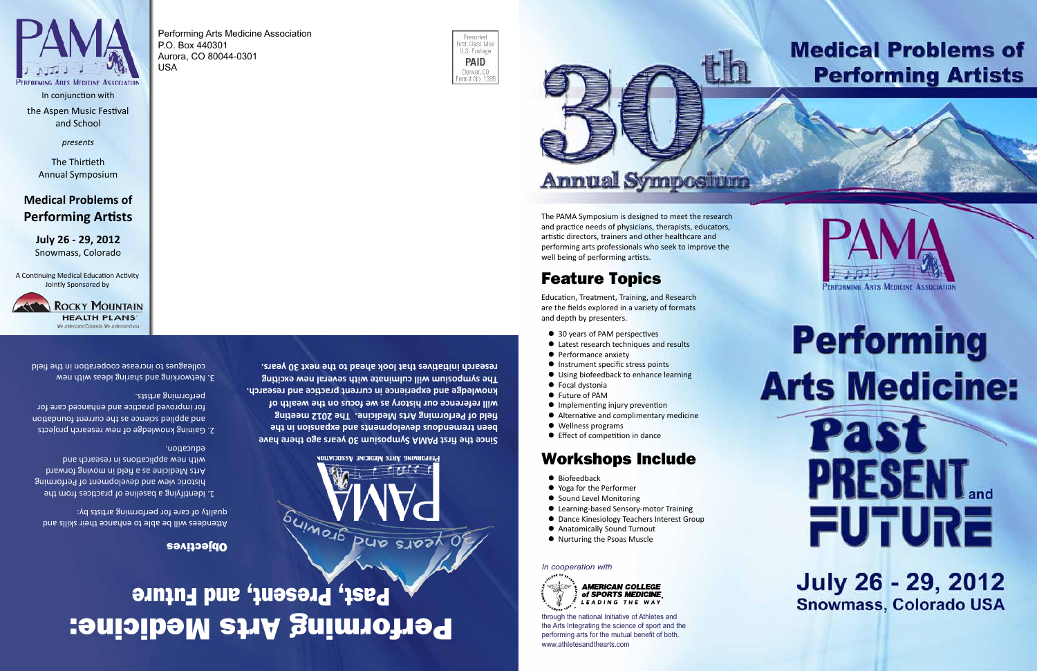**Since the first PAMA Symposium 30 years ago there have been tremendous developments and expansion in the field of Performing Arts Medicine. The 2012 meeting will reference our history as we focus on the wealth of knowledge and experience in current practice and research. The symposium will culminate with several new exciting research initiatives that look ahead to the next 30 years.**

## Performing Arts Medicine: Past, Present, and Future

In conjunction with the Aspen Music Festival and School

PERFORMING ARTS MEDICINE ASSOCIATION

*presents*

The Thirtieth Annual Symposium

### **Medical Problems of Performing Artists**

**July 26 - 29, 2012** Snowmass, Colorado

A Continuing Medical Education Activity Jointly Sponsored by

Performing Arts Medicine Association



P.O. Box 440301 Aurora, CO 80044-0301 USA

Feature Topics

Education, Treatment, Training, and Research are the fields explored in a variety of formats

and depth by presenters.

- 
- **•** Performance anxiety

Workshops Include

● Learning-based Sensory-motor Training ● Dance Kinesiology Teachers Interest Group

> **AMERICAN COLLEGE** of SPORTS MEDICINE

LEADING THE WAY

- 30 years of PAM perspectives ● Latest research techniques and results
- 
- 

The PAMA Symposium is designed to meet the research and practice needs of physicians, therapists, educators, artistic directors, trainers and other healthcare and performing arts professionals who seek to improve the

**Annual Symposition** 

- 
- Using biofeedback to enhance learning
- 
- 
- $\bullet$  Focal dystonia
- 
- 

● Biofeedback

well being of performing artists.

Presorted irst Class Mai

U.S. Postage **PAID** 

Denver, CO ermit No. 1385

- 
- $\bullet$  Instrument specific stress points

*In cooperation with* 

• Yoga for the Performer ● Sound Level Monitoring

● Anatomically Sound Turnout ● Nurturing the Psoas Muscle

### **Medical Problems of Performing Artists**





# **Performing Arts Medicine:**

# Pas PRESENT. FUTURE

**July 26 - 29, 2012 Snowmass, Colorado USA** 

through the national Initiative of Athletes and the Arts Integrating the science of sport and the performing arts for the mutual benefit of both. www.athletesandthearts.com

● Future of PAM **• Implementing injury prevention** ● Alternative and complimentary medicine • Wellness programs **•** Effect of competition in dance

#### Objectives

Attendees will be able to enhance their skills and quality of care for performing artists by:

- 1. Identifying a baseline of practices from the historic view and development of Performing Arts Medicine as a field in moving forward with new applications in research and education.
- 2. Gaining knowledge of new research projects and abblied science as the current foundation for improved practice and enhanced care for performing artists.
- 3. Networking and sharing ideas with new colleagues to increase cooperation in the field